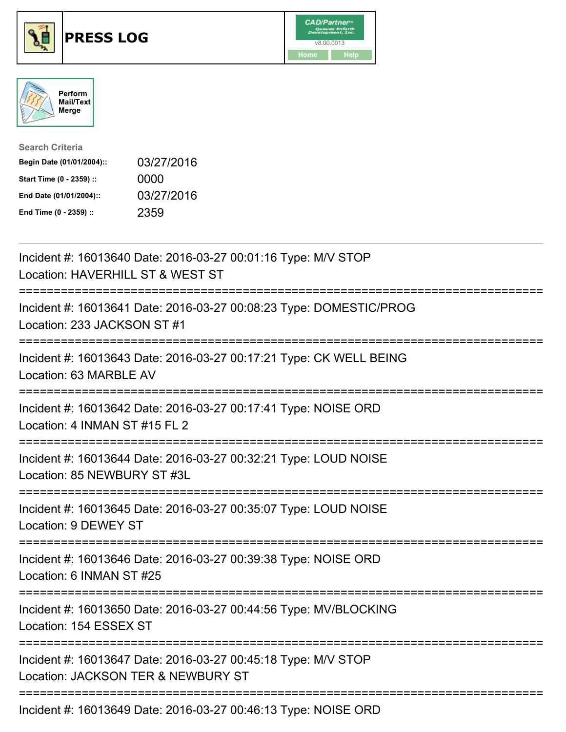





| <b>Search Criteria</b>    |            |
|---------------------------|------------|
| Begin Date (01/01/2004):: | 03/27/2016 |
| Start Time (0 - 2359) ::  | 0000       |
| End Date (01/01/2004)::   | 03/27/2016 |
| End Time (0 - 2359) ::    | 2359       |

| Incident #: 16013640 Date: 2016-03-27 00:01:16 Type: M/V STOP<br>Location: HAVERHILL ST & WEST ST   |
|-----------------------------------------------------------------------------------------------------|
| Incident #: 16013641 Date: 2016-03-27 00:08:23 Type: DOMESTIC/PROG<br>Location: 233 JACKSON ST #1   |
| Incident #: 16013643 Date: 2016-03-27 00:17:21 Type: CK WELL BEING<br>Location: 63 MARBLE AV        |
| Incident #: 16013642 Date: 2016-03-27 00:17:41 Type: NOISE ORD<br>Location: 4 INMAN ST #15 FL 2     |
| Incident #: 16013644 Date: 2016-03-27 00:32:21 Type: LOUD NOISE<br>Location: 85 NEWBURY ST #3L      |
| Incident #: 16013645 Date: 2016-03-27 00:35:07 Type: LOUD NOISE<br>Location: 9 DEWEY ST             |
| Incident #: 16013646 Date: 2016-03-27 00:39:38 Type: NOISE ORD<br>Location: 6 INMAN ST #25          |
| Incident #: 16013650 Date: 2016-03-27 00:44:56 Type: MV/BLOCKING<br>Location: 154 ESSEX ST          |
| Incident #: 16013647 Date: 2016-03-27 00:45:18 Type: M/V STOP<br>Location: JACKSON TER & NEWBURY ST |
| Incident #: 16013649 Date: 2016-03-27 00:46:13 Type: NOISE ORD                                      |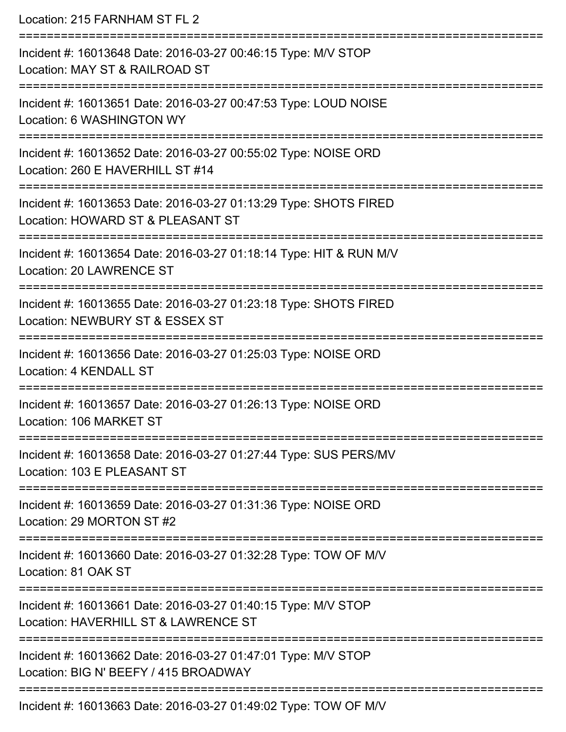| Location: 215 FARNHAM ST FL 2                                                                                                                                   |
|-----------------------------------------------------------------------------------------------------------------------------------------------------------------|
| Incident #: 16013648 Date: 2016-03-27 00:46:15 Type: M/V STOP<br>Location: MAY ST & RAILROAD ST                                                                 |
| Incident #: 16013651 Date: 2016-03-27 00:47:53 Type: LOUD NOISE<br>Location: 6 WASHINGTON WY                                                                    |
| Incident #: 16013652 Date: 2016-03-27 00:55:02 Type: NOISE ORD<br>Location: 260 E HAVERHILL ST #14                                                              |
| Incident #: 16013653 Date: 2016-03-27 01:13:29 Type: SHOTS FIRED<br>Location: HOWARD ST & PLEASANT ST                                                           |
| Incident #: 16013654 Date: 2016-03-27 01:18:14 Type: HIT & RUN M/V<br>Location: 20 LAWRENCE ST                                                                  |
| :===================================<br>Incident #: 16013655 Date: 2016-03-27 01:23:18 Type: SHOTS FIRED<br>Location: NEWBURY ST & ESSEX ST                     |
| Incident #: 16013656 Date: 2016-03-27 01:25:03 Type: NOISE ORD<br>Location: 4 KENDALL ST                                                                        |
| Incident #: 16013657 Date: 2016-03-27 01:26:13 Type: NOISE ORD<br>Location: 106 MARKET ST                                                                       |
| -----------------------------<br>===========================<br>Incident #: 16013658 Date: 2016-03-27 01:27:44 Type: SUS PERS/MV<br>Location: 103 E PLEASANT ST |
| Incident #: 16013659 Date: 2016-03-27 01:31:36 Type: NOISE ORD<br>Location: 29 MORTON ST #2                                                                     |
| Incident #: 16013660 Date: 2016-03-27 01:32:28 Type: TOW OF M/V<br>Location: 81 OAK ST                                                                          |
| Incident #: 16013661 Date: 2016-03-27 01:40:15 Type: M/V STOP<br>Location: HAVERHILL ST & LAWRENCE ST                                                           |
| Incident #: 16013662 Date: 2016-03-27 01:47:01 Type: M/V STOP<br>Location: BIG N' BEEFY / 415 BROADWAY                                                          |
| $10012000$ Deta: $2010.02.27.01.10.02$ Ture: TOMLOF MALL                                                                                                        |

Incident #: 16013663 Date: 2016-03-27 01:49:02 Type: TOW OF M/V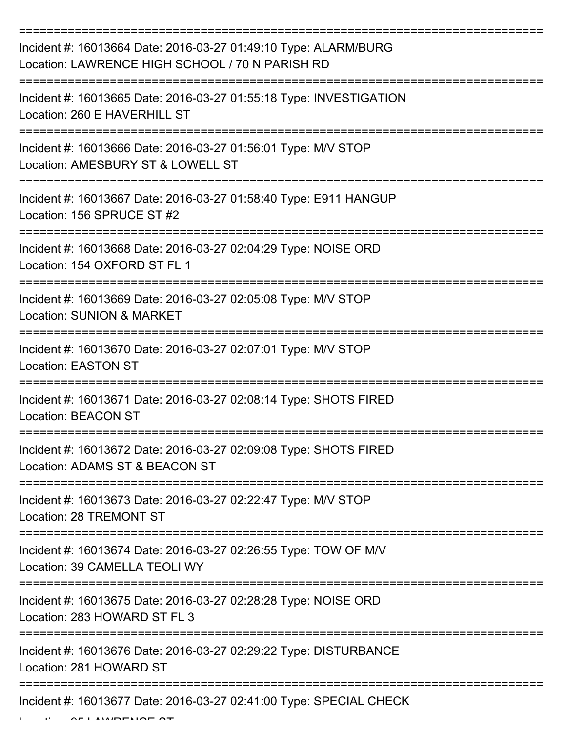| Incident #: 16013664 Date: 2016-03-27 01:49:10 Type: ALARM/BURG<br>Location: LAWRENCE HIGH SCHOOL / 70 N PARISH RD |
|--------------------------------------------------------------------------------------------------------------------|
| Incident #: 16013665 Date: 2016-03-27 01:55:18 Type: INVESTIGATION<br>Location: 260 E HAVERHILL ST                 |
| Incident #: 16013666 Date: 2016-03-27 01:56:01 Type: M/V STOP<br>Location: AMESBURY ST & LOWELL ST                 |
| Incident #: 16013667 Date: 2016-03-27 01:58:40 Type: E911 HANGUP<br>Location: 156 SPRUCE ST #2                     |
| Incident #: 16013668 Date: 2016-03-27 02:04:29 Type: NOISE ORD<br>Location: 154 OXFORD ST FL 1                     |
| Incident #: 16013669 Date: 2016-03-27 02:05:08 Type: M/V STOP<br><b>Location: SUNION &amp; MARKET</b>              |
| Incident #: 16013670 Date: 2016-03-27 02:07:01 Type: M/V STOP<br><b>Location: EASTON ST</b>                        |
| Incident #: 16013671 Date: 2016-03-27 02:08:14 Type: SHOTS FIRED<br><b>Location: BEACON ST</b>                     |
| Incident #: 16013672 Date: 2016-03-27 02:09:08 Type: SHOTS FIRED<br>Location: ADAMS ST & BEACON ST                 |
| Incident #: 16013673 Date: 2016-03-27 02:22:47 Type: M/V STOP<br><b>Location: 28 TREMONT ST</b>                    |
| Incident #: 16013674 Date: 2016-03-27 02:26:55 Type: TOW OF M/V<br>Location: 39 CAMELLA TEOLI WY                   |
| Incident #: 16013675 Date: 2016-03-27 02:28:28 Type: NOISE ORD<br>Location: 283 HOWARD ST FL 3                     |
| Incident #: 16013676 Date: 2016-03-27 02:29:22 Type: DISTURBANCE<br>Location: 281 HOWARD ST                        |
| Incident #: 16013677 Date: 2016-03-27 02:41:00 Type: SPECIAL CHECK                                                 |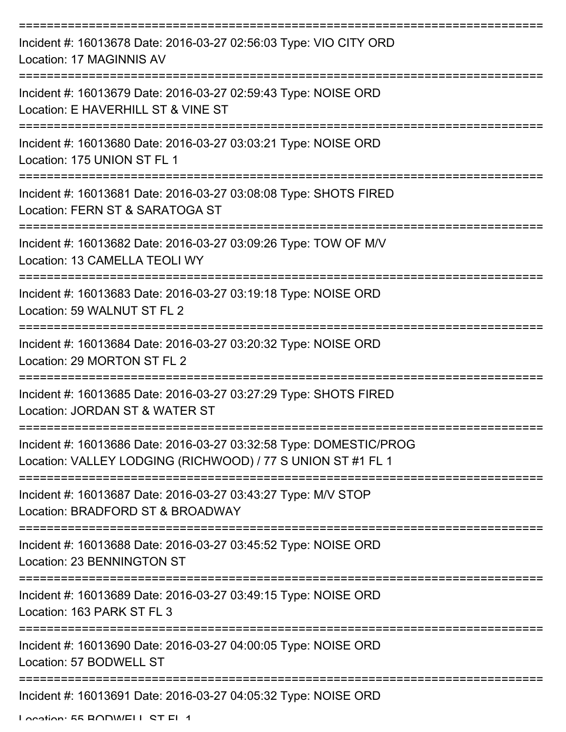| Incident #: 16013678 Date: 2016-03-27 02:56:03 Type: VIO CITY ORD<br>Location: 17 MAGINNIS AV                                     |
|-----------------------------------------------------------------------------------------------------------------------------------|
| Incident #: 16013679 Date: 2016-03-27 02:59:43 Type: NOISE ORD<br>Location: E HAVERHILL ST & VINE ST                              |
| Incident #: 16013680 Date: 2016-03-27 03:03:21 Type: NOISE ORD<br>Location: 175 UNION ST FL 1                                     |
| Incident #: 16013681 Date: 2016-03-27 03:08:08 Type: SHOTS FIRED<br>Location: FERN ST & SARATOGA ST                               |
| Incident #: 16013682 Date: 2016-03-27 03:09:26 Type: TOW OF M/V<br>Location: 13 CAMELLA TEOLI WY                                  |
| Incident #: 16013683 Date: 2016-03-27 03:19:18 Type: NOISE ORD<br>Location: 59 WALNUT ST FL 2                                     |
| Incident #: 16013684 Date: 2016-03-27 03:20:32 Type: NOISE ORD<br>Location: 29 MORTON ST FL 2                                     |
| Incident #: 16013685 Date: 2016-03-27 03:27:29 Type: SHOTS FIRED<br>Location: JORDAN ST & WATER ST                                |
| Incident #: 16013686 Date: 2016-03-27 03:32:58 Type: DOMESTIC/PROG<br>Location: VALLEY LODGING (RICHWOOD) / 77 S UNION ST #1 FL 1 |
| Incident #: 16013687 Date: 2016-03-27 03:43:27 Type: M/V STOP<br>Location: BRADFORD ST & BROADWAY                                 |
| Incident #: 16013688 Date: 2016-03-27 03:45:52 Type: NOISE ORD<br>Location: 23 BENNINGTON ST                                      |
| Incident #: 16013689 Date: 2016-03-27 03:49:15 Type: NOISE ORD<br>Location: 163 PARK ST FL 3                                      |
| Incident #: 16013690 Date: 2016-03-27 04:00:05 Type: NOISE ORD<br>Location: 57 BODWELL ST                                         |
| Incident #: 16013691 Date: 2016-03-27 04:05:32 Type: NOISE ORD                                                                    |

Location: EE BODWELL ST EL 1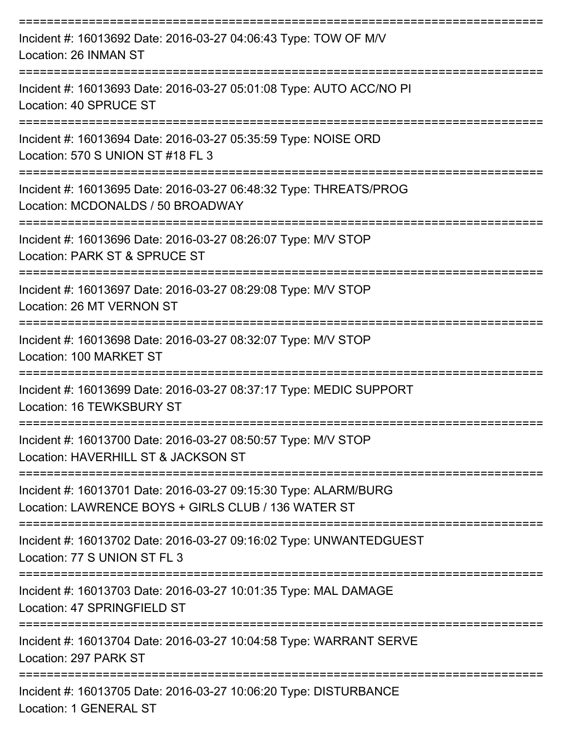| Incident #: 16013692 Date: 2016-03-27 04:06:43 Type: TOW OF M/V<br>Location: 26 INMAN ST                                     |
|------------------------------------------------------------------------------------------------------------------------------|
| Incident #: 16013693 Date: 2016-03-27 05:01:08 Type: AUTO ACC/NO PI<br>Location: 40 SPRUCE ST                                |
| Incident #: 16013694 Date: 2016-03-27 05:35:59 Type: NOISE ORD<br>Location: 570 S UNION ST #18 FL 3                          |
| :=================<br>Incident #: 16013695 Date: 2016-03-27 06:48:32 Type: THREATS/PROG<br>Location: MCDONALDS / 50 BROADWAY |
| Incident #: 16013696 Date: 2016-03-27 08:26:07 Type: M/V STOP<br>Location: PARK ST & SPRUCE ST                               |
| Incident #: 16013697 Date: 2016-03-27 08:29:08 Type: M/V STOP<br>Location: 26 MT VERNON ST                                   |
| Incident #: 16013698 Date: 2016-03-27 08:32:07 Type: M/V STOP<br>Location: 100 MARKET ST                                     |
| Incident #: 16013699 Date: 2016-03-27 08:37:17 Type: MEDIC SUPPORT<br>Location: 16 TEWKSBURY ST                              |
| Incident #: 16013700 Date: 2016-03-27 08:50:57 Type: M/V STOP<br>Location: HAVERHILL ST & JACKSON ST                         |
| Incident #: 16013701 Date: 2016-03-27 09:15:30 Type: ALARM/BURG<br>Location: LAWRENCE BOYS + GIRLS CLUB / 136 WATER ST       |
| Incident #: 16013702 Date: 2016-03-27 09:16:02 Type: UNWANTEDGUEST<br>Location: 77 S UNION ST FL 3                           |
| Incident #: 16013703 Date: 2016-03-27 10:01:35 Type: MAL DAMAGE<br>Location: 47 SPRINGFIELD ST                               |
| Incident #: 16013704 Date: 2016-03-27 10:04:58 Type: WARRANT SERVE<br>Location: 297 PARK ST                                  |
| Incident #: 16013705 Date: 2016-03-27 10:06:20 Type: DISTURBANCE<br>Location: 1 GENERAL ST                                   |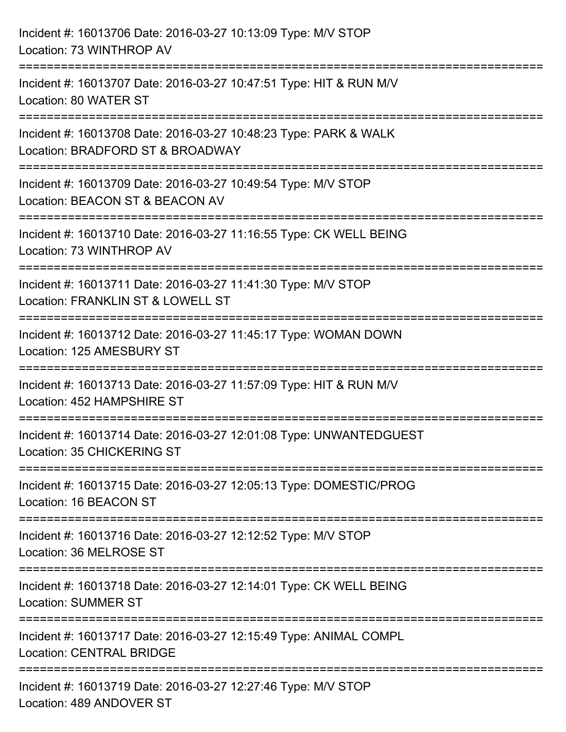| Incident #: 16013706 Date: 2016-03-27 10:13:09 Type: M/V STOP<br>Location: 73 WINTHROP AV            |
|------------------------------------------------------------------------------------------------------|
| Incident #: 16013707 Date: 2016-03-27 10:47:51 Type: HIT & RUN M/V<br>Location: 80 WATER ST          |
| Incident #: 16013708 Date: 2016-03-27 10:48:23 Type: PARK & WALK<br>Location: BRADFORD ST & BROADWAY |
| Incident #: 16013709 Date: 2016-03-27 10:49:54 Type: M/V STOP<br>Location: BEACON ST & BEACON AV     |
| Incident #: 16013710 Date: 2016-03-27 11:16:55 Type: CK WELL BEING<br>Location: 73 WINTHROP AV       |
| Incident #: 16013711 Date: 2016-03-27 11:41:30 Type: M/V STOP<br>Location: FRANKLIN ST & LOWELL ST   |
| Incident #: 16013712 Date: 2016-03-27 11:45:17 Type: WOMAN DOWN<br>Location: 125 AMESBURY ST         |
| Incident #: 16013713 Date: 2016-03-27 11:57:09 Type: HIT & RUN M/V<br>Location: 452 HAMPSHIRE ST     |
| Incident #: 16013714 Date: 2016-03-27 12:01:08 Type: UNWANTEDGUEST<br>Location: 35 CHICKERING ST     |
| Incident #: 16013715 Date: 2016-03-27 12:05:13 Type: DOMESTIC/PROG<br>Location: 16 BEACON ST         |
| Incident #: 16013716 Date: 2016-03-27 12:12:52 Type: M/V STOP<br>Location: 36 MELROSE ST             |
| Incident #: 16013718 Date: 2016-03-27 12:14:01 Type: CK WELL BEING<br><b>Location: SUMMER ST</b>     |
| Incident #: 16013717 Date: 2016-03-27 12:15:49 Type: ANIMAL COMPL<br><b>Location: CENTRAL BRIDGE</b> |
| Incident #: 16013719 Date: 2016-03-27 12:27:46 Type: M/V STOP<br>Location: 489 ANDOVER ST            |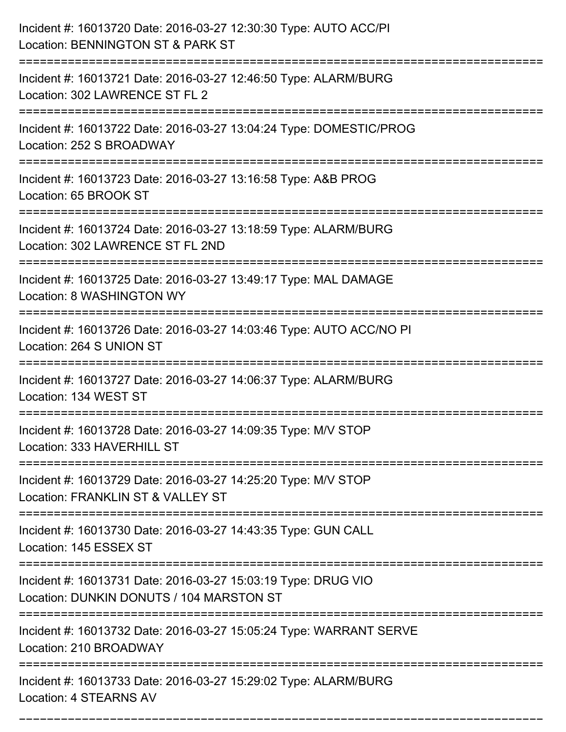| Incident #: 16013720 Date: 2016-03-27 12:30:30 Type: AUTO ACC/PI<br>Location: BENNINGTON ST & PARK ST              |
|--------------------------------------------------------------------------------------------------------------------|
| Incident #: 16013721 Date: 2016-03-27 12:46:50 Type: ALARM/BURG<br>Location: 302 LAWRENCE ST FL 2                  |
| Incident #: 16013722 Date: 2016-03-27 13:04:24 Type: DOMESTIC/PROG<br>Location: 252 S BROADWAY                     |
| Incident #: 16013723 Date: 2016-03-27 13:16:58 Type: A&B PROG<br>Location: 65 BROOK ST                             |
| Incident #: 16013724 Date: 2016-03-27 13:18:59 Type: ALARM/BURG<br>Location: 302 LAWRENCE ST FL 2ND                |
| Incident #: 16013725 Date: 2016-03-27 13:49:17 Type: MAL DAMAGE<br>Location: 8 WASHINGTON WY                       |
| Incident #: 16013726 Date: 2016-03-27 14:03:46 Type: AUTO ACC/NO PI<br>Location: 264 S UNION ST                    |
| Incident #: 16013727 Date: 2016-03-27 14:06:37 Type: ALARM/BURG<br>Location: 134 WEST ST                           |
| Incident #: 16013728 Date: 2016-03-27 14:09:35 Type: M/V STOP<br>Location: 333 HAVERHILL ST                        |
| Incident #: 16013729 Date: 2016-03-27 14:25:20 Type: M/V STOP<br>Location: FRANKLIN ST & VALLEY ST                 |
| Incident #: 16013730 Date: 2016-03-27 14:43:35 Type: GUN CALL<br>Location: 145 ESSEX ST                            |
| Incident #: 16013731 Date: 2016-03-27 15:03:19 Type: DRUG VIO<br>Location: DUNKIN DONUTS / 104 MARSTON ST          |
| ==================<br>Incident #: 16013732 Date: 2016-03-27 15:05:24 Type: WARRANT SERVE<br>Location: 210 BROADWAY |
| Incident #: 16013733 Date: 2016-03-27 15:29:02 Type: ALARM/BURG<br>Location: 4 STEARNS AV                          |

===========================================================================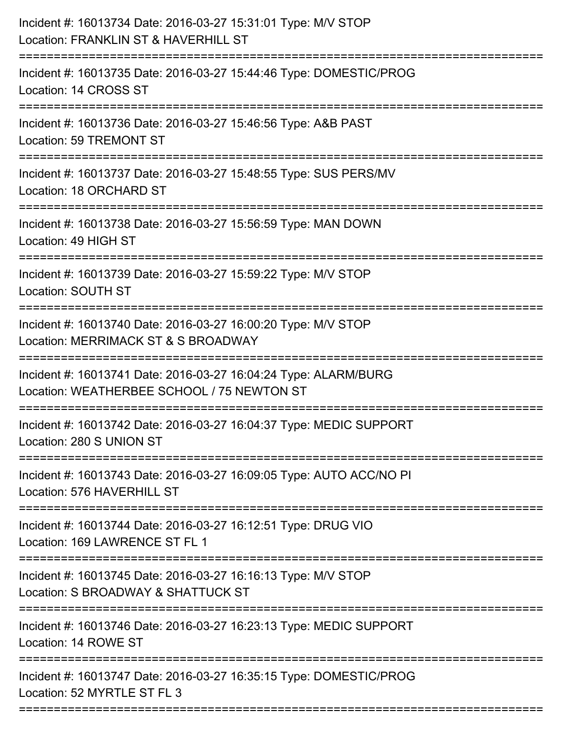| Incident #: 16013734 Date: 2016-03-27 15:31:01 Type: M/V STOP<br>Location: FRANKLIN ST & HAVERHILL ST         |
|---------------------------------------------------------------------------------------------------------------|
| Incident #: 16013735 Date: 2016-03-27 15:44:46 Type: DOMESTIC/PROG<br>Location: 14 CROSS ST                   |
| Incident #: 16013736 Date: 2016-03-27 15:46:56 Type: A&B PAST<br>Location: 59 TREMONT ST                      |
| Incident #: 16013737 Date: 2016-03-27 15:48:55 Type: SUS PERS/MV<br>Location: 18 ORCHARD ST                   |
| Incident #: 16013738 Date: 2016-03-27 15:56:59 Type: MAN DOWN<br>Location: 49 HIGH ST                         |
| Incident #: 16013739 Date: 2016-03-27 15:59:22 Type: M/V STOP<br>Location: SOUTH ST                           |
| Incident #: 16013740 Date: 2016-03-27 16:00:20 Type: M/V STOP<br>Location: MERRIMACK ST & S BROADWAY          |
| Incident #: 16013741 Date: 2016-03-27 16:04:24 Type: ALARM/BURG<br>Location: WEATHERBEE SCHOOL / 75 NEWTON ST |
| Incident #: 16013742 Date: 2016-03-27 16:04:37 Type: MEDIC SUPPORT<br>Location: 280 S UNION ST                |
| Incident #: 16013743 Date: 2016-03-27 16:09:05 Type: AUTO ACC/NO PI<br>Location: 576 HAVERHILL ST             |
| Incident #: 16013744 Date: 2016-03-27 16:12:51 Type: DRUG VIO<br>Location: 169 LAWRENCE ST FL 1               |
| Incident #: 16013745 Date: 2016-03-27 16:16:13 Type: M/V STOP<br>Location: S BROADWAY & SHATTUCK ST           |
| Incident #: 16013746 Date: 2016-03-27 16:23:13 Type: MEDIC SUPPORT<br>Location: 14 ROWE ST                    |
| Incident #: 16013747 Date: 2016-03-27 16:35:15 Type: DOMESTIC/PROG<br>Location: 52 MYRTLE ST FL 3             |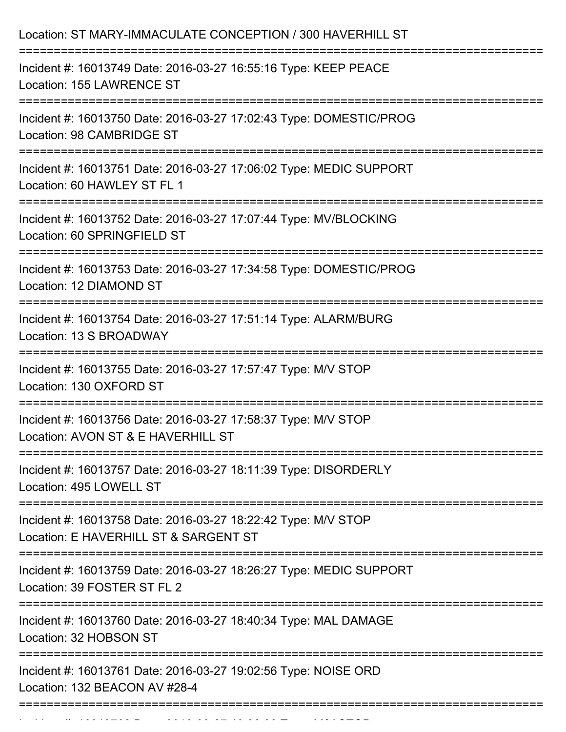| Location: ST MARY-IMMACULATE CONCEPTION / 300 HAVERHILL ST                                                                           |
|--------------------------------------------------------------------------------------------------------------------------------------|
| Incident #: 16013749 Date: 2016-03-27 16:55:16 Type: KEEP PEACE<br>Location: 155 LAWRENCE ST<br>==================================== |
| Incident #: 16013750 Date: 2016-03-27 17:02:43 Type: DOMESTIC/PROG<br>Location: 98 CAMBRIDGE ST                                      |
| Incident #: 16013751 Date: 2016-03-27 17:06:02 Type: MEDIC SUPPORT<br>Location: 60 HAWLEY ST FL 1                                    |
| Incident #: 16013752 Date: 2016-03-27 17:07:44 Type: MV/BLOCKING<br>Location: 60 SPRINGFIELD ST                                      |
| Incident #: 16013753 Date: 2016-03-27 17:34:58 Type: DOMESTIC/PROG<br>Location: 12 DIAMOND ST                                        |
| Incident #: 16013754 Date: 2016-03-27 17:51:14 Type: ALARM/BURG<br>Location: 13 S BROADWAY                                           |
| Incident #: 16013755 Date: 2016-03-27 17:57:47 Type: M/V STOP<br>Location: 130 OXFORD ST                                             |
| Incident #: 16013756 Date: 2016-03-27 17:58:37 Type: M/V STOP<br>Location: AVON ST & E HAVERHILL ST                                  |
| Incident #: 16013757 Date: 2016-03-27 18:11:39 Type: DISORDERLY<br>Location: 495 LOWELL ST                                           |
| Incident #: 16013758 Date: 2016-03-27 18:22:42 Type: M/V STOP<br>Location: E HAVERHILL ST & SARGENT ST                               |
| Incident #: 16013759 Date: 2016-03-27 18:26:27 Type: MEDIC SUPPORT<br>Location: 39 FOSTER ST FL 2                                    |
| Incident #: 16013760 Date: 2016-03-27 18:40:34 Type: MAL DAMAGE<br>Location: 32 HOBSON ST                                            |
| Incident #: 16013761 Date: 2016-03-27 19:02:56 Type: NOISE ORD<br>Location: 132 BEACON AV #28-4                                      |

Incident #: 16013762 Date: 2016 03 27 19:06:39 Type: Microsoft.com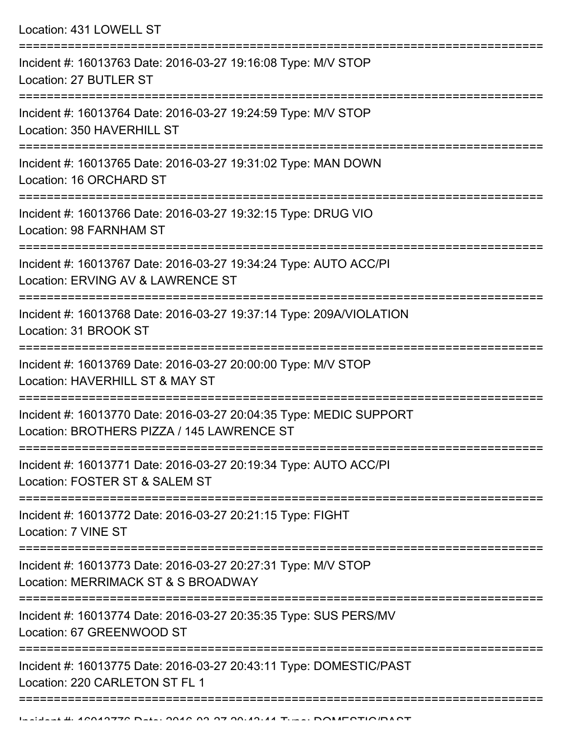Location: 431 LOWELL ST =========================================================================== Incident #: 16013763 Date: 2016-03-27 19:16:08 Type: M/V STOP Location: 27 BUTLER ST =========================================================================== Incident #: 16013764 Date: 2016-03-27 19:24:59 Type: M/V STOP Location: 350 HAVERHILL ST =========================================================================== Incident #: 16013765 Date: 2016-03-27 19:31:02 Type: MAN DOWN Location: 16 ORCHARD ST =========================================================================== Incident #: 16013766 Date: 2016-03-27 19:32:15 Type: DRUG VIO Location: 98 FARNHAM ST =========================================================================== Incident #: 16013767 Date: 2016-03-27 19:34:24 Type: AUTO ACC/PI Location: ERVING AV & LAWRENCE ST =========================================================================== Incident #: 16013768 Date: 2016-03-27 19:37:14 Type: 209A/VIOLATION Location: 31 BROOK ST =========================================================================== Incident #: 16013769 Date: 2016-03-27 20:00:00 Type: M/V STOP Location: HAVERHILL ST & MAY ST =========================================================================== Incident #: 16013770 Date: 2016-03-27 20:04:35 Type: MEDIC SUPPORT Location: BROTHERS PIZZA / 145 LAWRENCE ST =========================================================================== Incident #: 16013771 Date: 2016-03-27 20:19:34 Type: AUTO ACC/PI Location: FOSTER ST & SALEM ST =========================================================================== Incident #: 16013772 Date: 2016-03-27 20:21:15 Type: FIGHT Location: 7 VINE ST =========================================================================== Incident #: 16013773 Date: 2016-03-27 20:27:31 Type: M/V STOP Location: MERRIMACK ST & S BROADWAY =========================================================================== Incident #: 16013774 Date: 2016-03-27 20:35:35 Type: SUS PERS/MV Location: 67 GREENWOOD ST =========================================================================== Incident #: 16013775 Date: 2016-03-27 20:43:11 Type: DOMESTIC/PAST Location: 220 CARLETON ST FL 1

==============================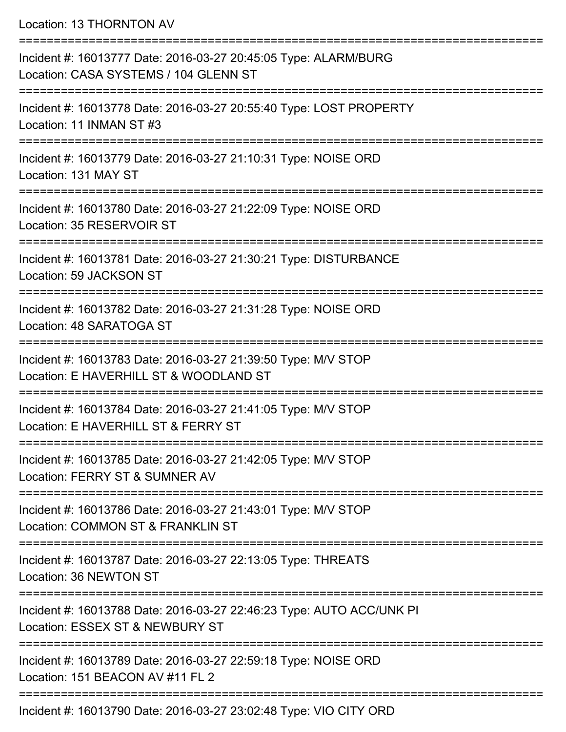Location: 13 THORNTON AV

| Incident #: 16013777 Date: 2016-03-27 20:45:05 Type: ALARM/BURG<br>Location: CASA SYSTEMS / 104 GLENN ST |
|----------------------------------------------------------------------------------------------------------|
| Incident #: 16013778 Date: 2016-03-27 20:55:40 Type: LOST PROPERTY<br>Location: 11 INMAN ST #3           |
| Incident #: 16013779 Date: 2016-03-27 21:10:31 Type: NOISE ORD<br>Location: 131 MAY ST                   |
| Incident #: 16013780 Date: 2016-03-27 21:22:09 Type: NOISE ORD<br>Location: 35 RESERVOIR ST              |
| Incident #: 16013781 Date: 2016-03-27 21:30:21 Type: DISTURBANCE<br>Location: 59 JACKSON ST              |
| Incident #: 16013782 Date: 2016-03-27 21:31:28 Type: NOISE ORD<br>Location: 48 SARATOGA ST               |
| Incident #: 16013783 Date: 2016-03-27 21:39:50 Type: M/V STOP<br>Location: E HAVERHILL ST & WOODLAND ST  |
| Incident #: 16013784 Date: 2016-03-27 21:41:05 Type: M/V STOP<br>Location: E HAVERHILL ST & FERRY ST     |
| Incident #: 16013785 Date: 2016-03-27 21:42:05 Type: M/V STOP<br>Location: FERRY ST & SUMNER AV          |
| Incident #: 16013786 Date: 2016-03-27 21:43:01 Type: M/V STOP<br>Location: COMMON ST & FRANKLIN ST       |
| Incident #: 16013787 Date: 2016-03-27 22:13:05 Type: THREATS<br>Location: 36 NEWTON ST                   |
| Incident #: 16013788 Date: 2016-03-27 22:46:23 Type: AUTO ACC/UNK PI<br>Location: ESSEX ST & NEWBURY ST  |
| Incident #: 16013789 Date: 2016-03-27 22:59:18 Type: NOISE ORD<br>Location: 151 BEACON AV #11 FL 2       |
| Incident #: 16013790 Date: 2016-03-27 23:02:48 Type: VIO CITY ORD                                        |